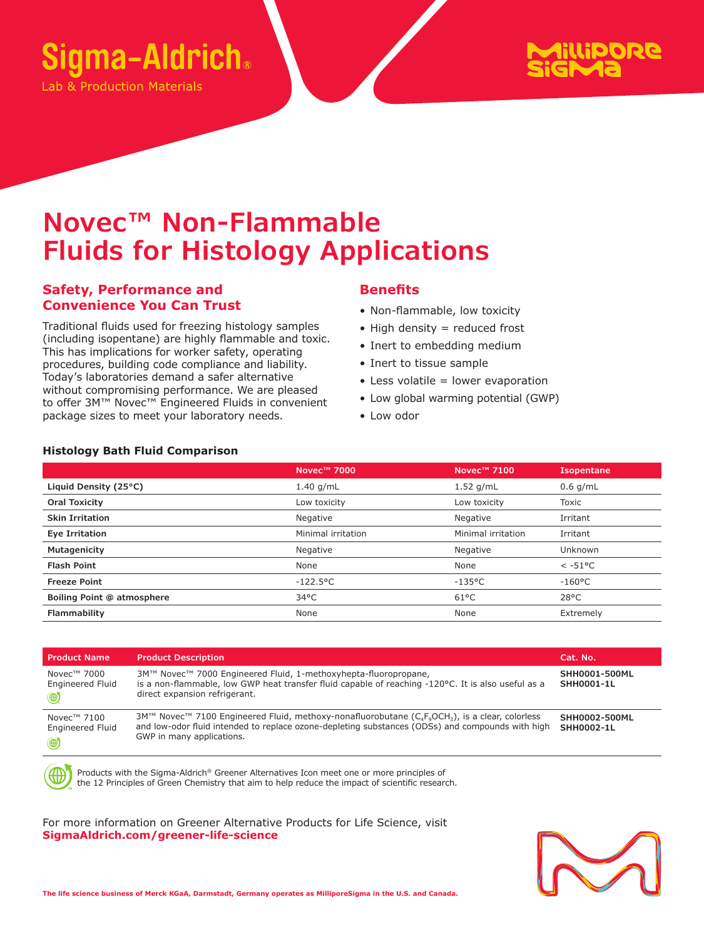

ab & Production Materials



# **Novec™ Non-Flammable Fluids for Histology Applications**

### **Safety, Performance and Convenience You Can Trust**

Traditional fluids used for freezing histology samples (including isopentane) are highly flammable and toxic. This has implications for worker safety, operating procedures, building code compliance and liability. Today's laboratories demand a safer alternative without compromising performance. We are pleased to offer 3M™ Novec™ Engineered Fluids in convenient package sizes to meet your laboratory needs.

#### **Benefits**

- Non-flammable, low toxicity
- $\bullet$  High density = reduced frost
- Inert to embedding medium
- Inert to tissue sample
- Less volatile = lower evaporation
- Low global warming potential (GWP)
- Low odor

|                            | Novec <sup>™</sup> 7000 | Novec <sup>™</sup> 7100 | <b>Isopentane</b> |
|----------------------------|-------------------------|-------------------------|-------------------|
| Liquid Density (25°C)      | $1.40$ g/mL             | $1.52$ g/mL             | $0.6$ g/mL        |
| <b>Oral Toxicity</b>       | Low toxicity            | Low toxicity            | Toxic             |
| <b>Skin Irritation</b>     | Negative                | Negative                | Irritant          |
| Eye Irritation             | Minimal irritation      | Minimal irritation      | Irritant          |
| Mutagenicity               | Negative                | Negative                | Unknown           |
| <b>Flash Point</b>         | None                    | None                    | $< -51$ °C        |
| <b>Freeze Point</b>        | $-122.5^{\circ}$ C      | $-135$ °C               | $-160^{\circ}$ C  |
| Boiling Point @ atmosphere | $34^{\circ}$ C          | $61^{\circ}$ C          | $28^{\circ}$ C    |
| Flammability               | None                    | None                    | Extremely         |

| <b>Product Name</b>                                                 | <b>Product Description</b>                                                                                                                                                                                                           | Cat. No.                           |
|---------------------------------------------------------------------|--------------------------------------------------------------------------------------------------------------------------------------------------------------------------------------------------------------------------------------|------------------------------------|
| Novec™ 7000<br><b>Engineered Fluid</b><br>$\circledast$             | 3M™ Novec™ 7000 Engineered Fluid, 1-methoxyhepta-fluoropropane,<br>is a non-flammable, low GWP heat transfer fluid capable of reaching -120°C. It is also useful as a<br>direct expansion refrigerant.                               | SHH0001-500ML<br><b>SHH0001-1L</b> |
| Novec <sup>™</sup> 7100<br><b>Engineered Fluid</b><br>$\circledast$ | 3M™ Novec™ 7100 Engineered Fluid, methoxy-nonafluorobutane ( $C_4F_9OCH_3$ ), is a clear, colorless<br>and low-odor fluid intended to replace ozone-depleting substances (ODSs) and compounds with high<br>GWP in many applications. | SHH0002-500ML<br>SHH0002-1L        |

Products with the Sigma-Aldrich® Greener Alternatives Icon meet one or more principles of the 12 Principles of Green Chemistry that aim to help reduce the impact of scientific research.

For more information on Greener Alternative Products for Life Science, visit **SigmaAldrich.com/greener-life-science** 



## **Histology Bath Fluid Comparison**